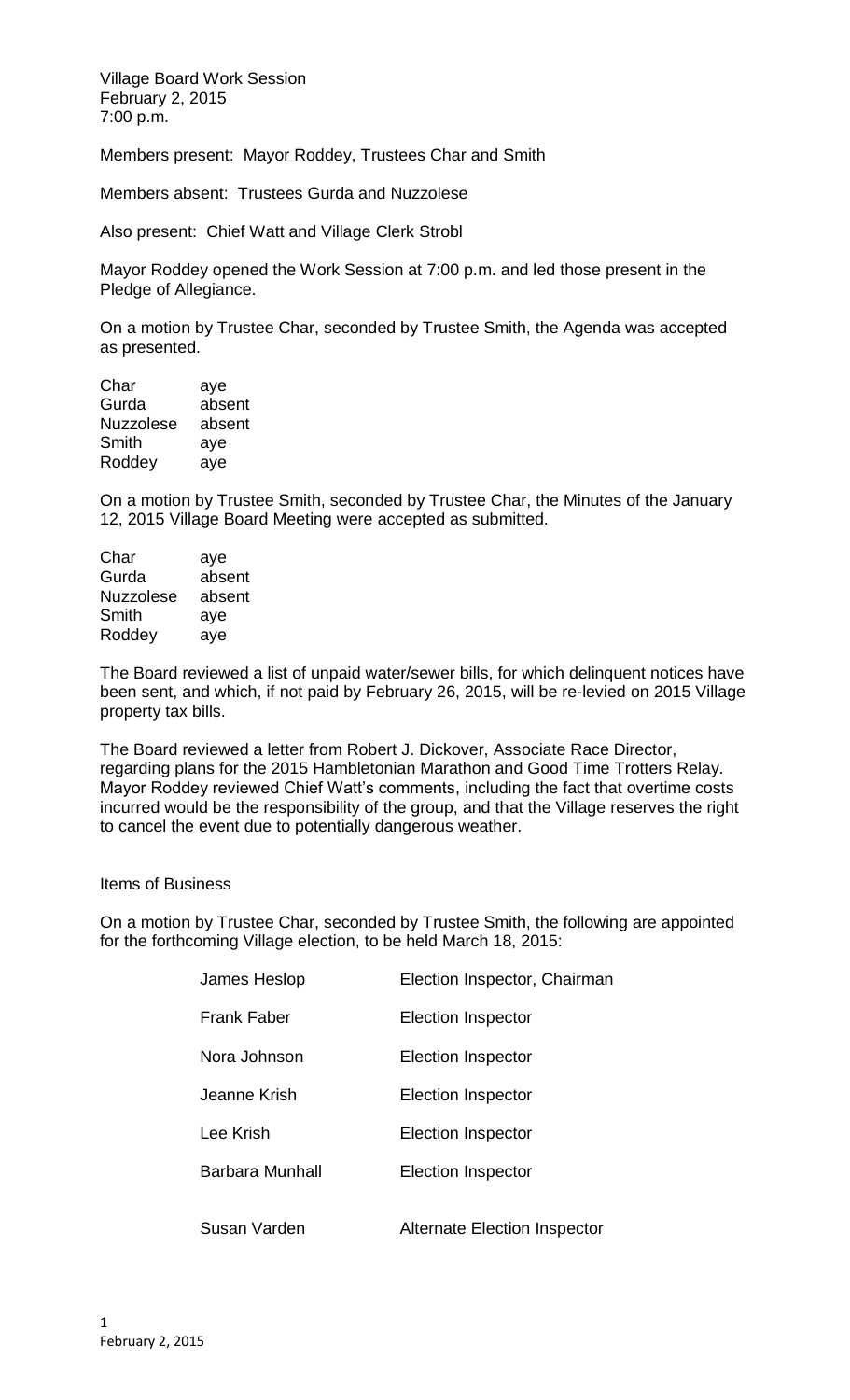Village Board Work Session February 2, 2015 7:00 p.m.

Members present: Mayor Roddey, Trustees Char and Smith

Members absent: Trustees Gurda and Nuzzolese

Also present: Chief Watt and Village Clerk Strobl

Mayor Roddey opened the Work Session at 7:00 p.m. and led those present in the Pledge of Allegiance.

On a motion by Trustee Char, seconded by Trustee Smith, the Agenda was accepted as presented.

| Char             | aye    |
|------------------|--------|
| Gurda            | absent |
| <b>Nuzzolese</b> | absent |
| Smith            | aye    |
| Roddey           | aye    |
|                  |        |

On a motion by Trustee Smith, seconded by Trustee Char, the Minutes of the January 12, 2015 Village Board Meeting were accepted as submitted.

| Char      | aye    |
|-----------|--------|
| Gurda     | absent |
| Nuzzolese | absent |
| Smith     | aye    |
| Roddey    | aye    |
|           |        |

The Board reviewed a list of unpaid water/sewer bills, for which delinquent notices have been sent, and which, if not paid by February 26, 2015, will be re-levied on 2015 Village property tax bills.

The Board reviewed a letter from Robert J. Dickover, Associate Race Director, regarding plans for the 2015 Hambletonian Marathon and Good Time Trotters Relay. Mayor Roddey reviewed Chief Watt's comments, including the fact that overtime costs incurred would be the responsibility of the group, and that the Village reserves the right to cancel the event due to potentially dangerous weather.

## Items of Business

On a motion by Trustee Char, seconded by Trustee Smith, the following are appointed for the forthcoming Village election, to be held March 18, 2015:

| James Heslop       | Election Inspector, Chairman        |
|--------------------|-------------------------------------|
| <b>Frank Faber</b> | Election Inspector                  |
| Nora Johnson       | Election Inspector                  |
| Jeanne Krish.      | Election Inspector                  |
| Lee Krish          | Election Inspector                  |
| Barbara Munhall    | Election Inspector                  |
| Susan Varden       | <b>Alternate Election Inspector</b> |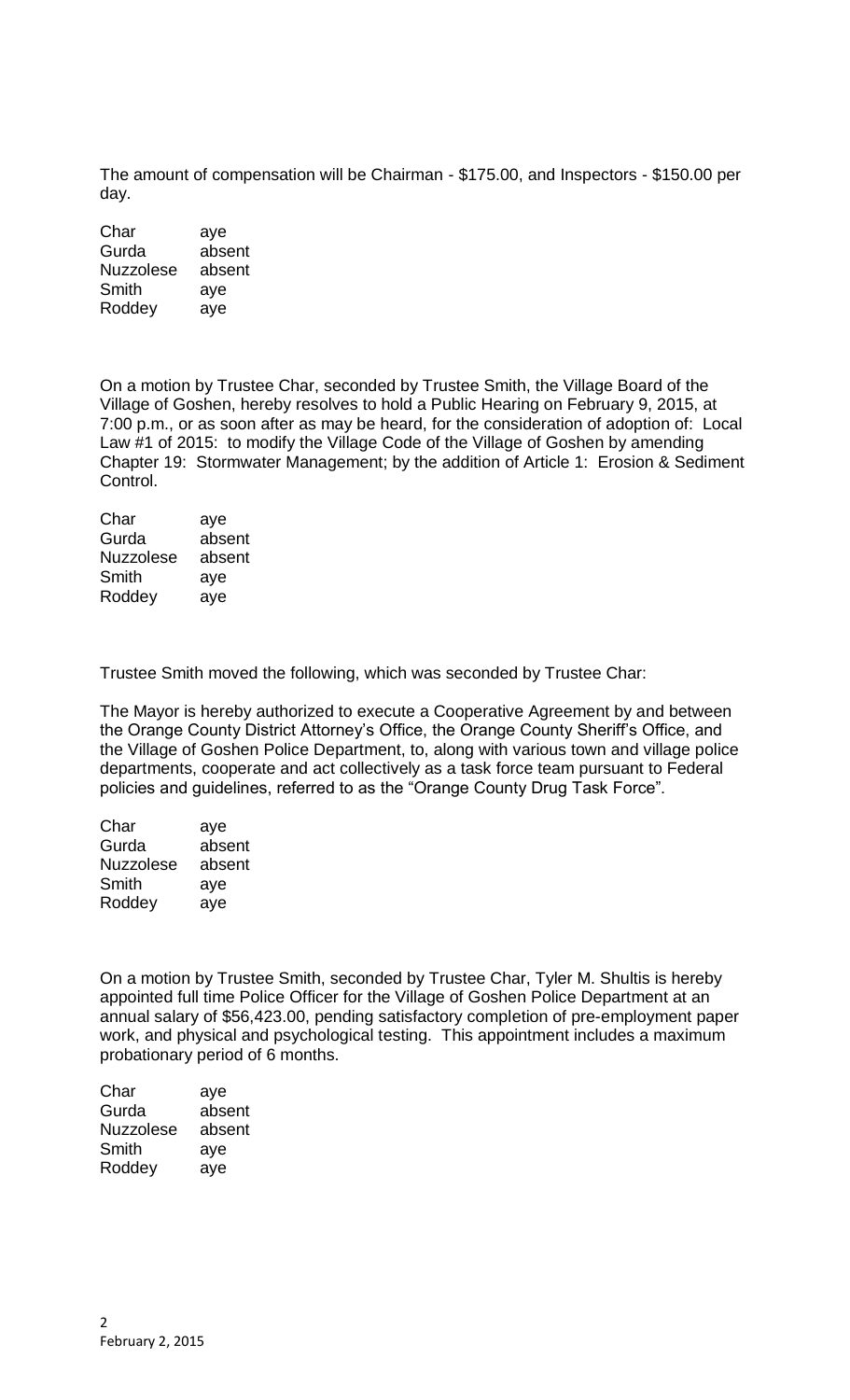The amount of compensation will be Chairman - \$175.00, and Inspectors - \$150.00 per day.

| Char             | aye    |
|------------------|--------|
| Gurda            | absent |
| <b>Nuzzolese</b> | absent |
| Smith            | aye    |
| Roddey           | aye    |

On a motion by Trustee Char, seconded by Trustee Smith, the Village Board of the Village of Goshen, hereby resolves to hold a Public Hearing on February 9, 2015, at 7:00 p.m., or as soon after as may be heard, for the consideration of adoption of: Local Law #1 of 2015: to modify the Village Code of the Village of Goshen by amending Chapter 19: Stormwater Management; by the addition of Article 1: Erosion & Sediment Control.

| Char             | aye    |
|------------------|--------|
| Gurda            | absent |
| <b>Nuzzolese</b> | absent |
| Smith            | aye    |
| Roddey           | aye    |
|                  |        |

Trustee Smith moved the following, which was seconded by Trustee Char:

The Mayor is hereby authorized to execute a Cooperative Agreement by and between the Orange County District Attorney's Office, the Orange County Sheriff's Office, and the Village of Goshen Police Department, to, along with various town and village police departments, cooperate and act collectively as a task force team pursuant to Federal policies and guidelines, referred to as the "Orange County Drug Task Force".

| aye    |
|--------|
| absent |
| absent |
| aye    |
| ave    |
|        |

On a motion by Trustee Smith, seconded by Trustee Char, Tyler M. Shultis is hereby appointed full time Police Officer for the Village of Goshen Police Department at an annual salary of \$56,423.00, pending satisfactory completion of pre-employment paper work, and physical and psychological testing. This appointment includes a maximum probationary period of 6 months.

| Char             | aye    |
|------------------|--------|
| Gurda            | absent |
| <b>Nuzzolese</b> | absent |
| Smith            | aye    |
| Roddey           | ave    |
|                  |        |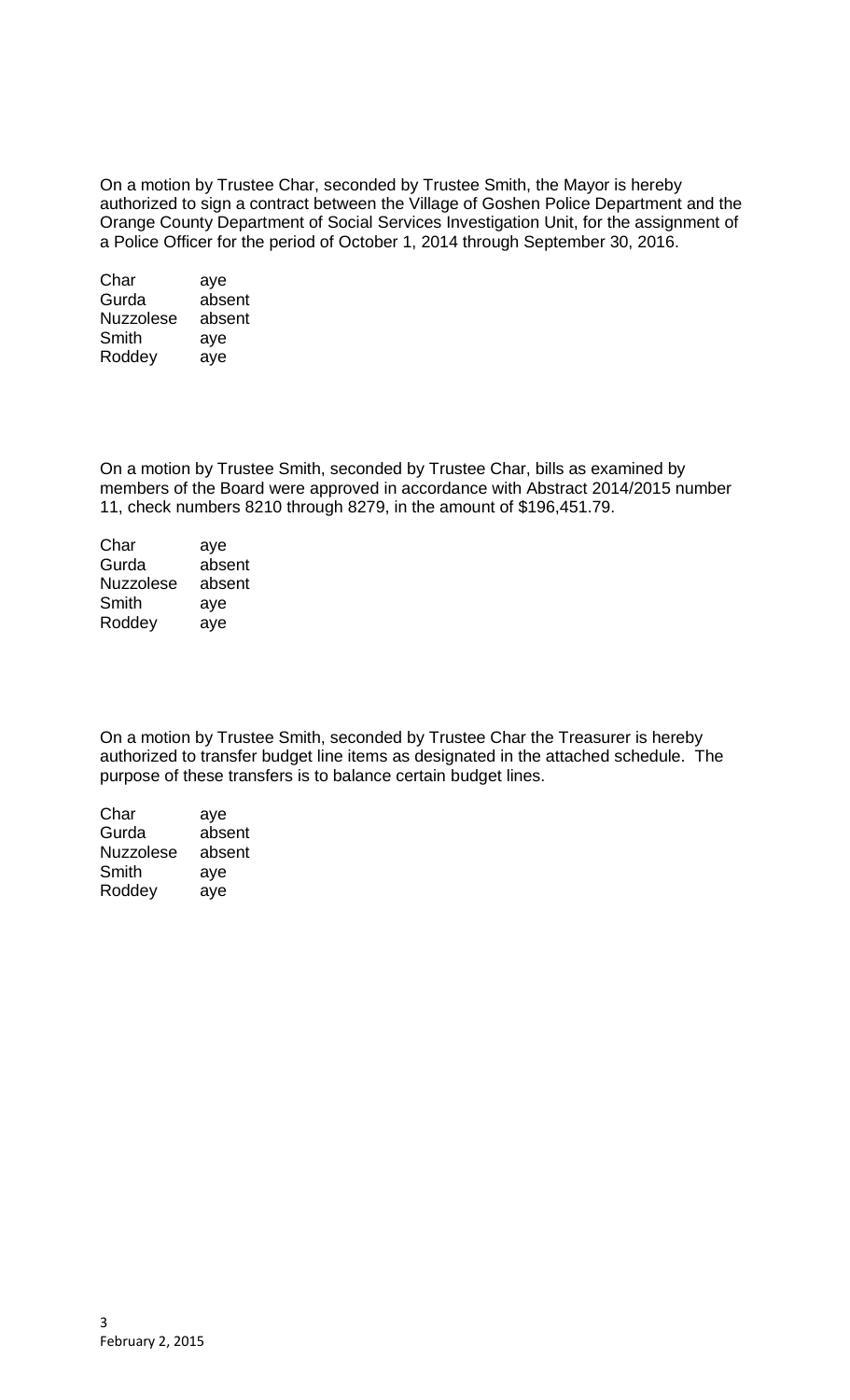On a motion by Trustee Char, seconded by Trustee Smith, the Mayor is hereby authorized to sign a contract between the Village of Goshen Police Department and the Orange County Department of Social Services Investigation Unit, for the assignment of a Police Officer for the period of October 1, 2014 through September 30, 2016.

| Char             | aye    |
|------------------|--------|
| Gurda            | absent |
| <b>Nuzzolese</b> | absent |
| Smith            | aye    |
| Roddey           | aye    |

On a motion by Trustee Smith, seconded by Trustee Char, bills as examined by members of the Board were approved in accordance with Abstract 2014/2015 number 11, check numbers 8210 through 8279, in the amount of \$196,451.79.

| Char             | aye    |
|------------------|--------|
| Gurda            | absent |
| <b>Nuzzolese</b> | absent |
| Smith            | aye    |
| Roddey           | aye    |
|                  |        |

On a motion by Trustee Smith, seconded by Trustee Char the Treasurer is hereby authorized to transfer budget line items as designated in the attached schedule. The purpose of these transfers is to balance certain budget lines.

| Char             | aye    |
|------------------|--------|
| Gurda            | absent |
| <b>Nuzzolese</b> | absent |
| Smith            | aye    |
| Roddey           | aye    |
|                  |        |